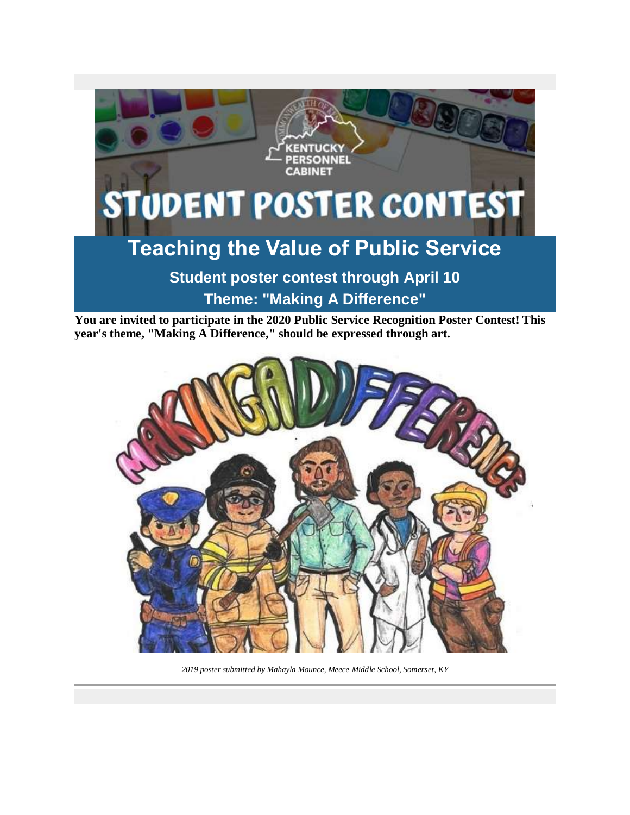

**You are invited to participate in the 2020 Public Service Recognition Poster Contest! This year's theme, "Making A Difference," should be expressed through art.**



*2019 poster submitted by Mahayla Mounce, Meece Middle School, Somerset, KY*